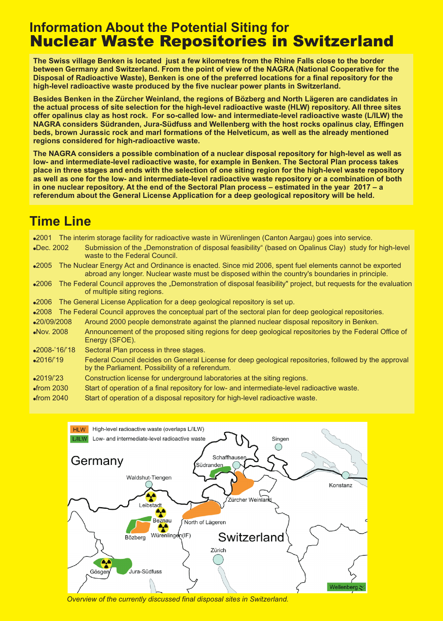## **Information About the Potential Siting for** Nuclear Waste Repositories in Switzerland

**The Swiss village Benken is located just a few kilometres from the Rhine Falls close to the border between Germany and Switzerland. From the point of view of the NAGRA (National Cooperative for the Disposal of Radioactive Waste), Benken is one of the preferred locations for a final repository for the high-level radioactive waste produced by the five nuclear power plants in Switzerland.**

**Besides Benken in the Zürcher Weinland, the regions of Bözberg and North Lägeren are candidates in the actual process of site selection for the high-level radioactive waste (HLW) repository. All three sites offer opalinus clay as host rock. For so-called low- and intermediate-level radioactive waste (L/ILW) the NAGRA considers Südranden, Jura-Südfuss and Wellenberg with the host rocks opalinus clay, Effingen beds, brown Jurassic rock and marl formations of the Helveticum, as well as the already mentioned regions considered for high-radioactive waste.**

**The NAGRA considers a possible combination of a nuclear disposal repository for high-level as well as low- and intermediate-level radioactive waste, for example in Benken. The Sectoral Plan process takes place in three stages and ends with the selection of one siting region for the high-level waste repository as well as one for the low- and intermediate-level radioactive waste repository or a combination of both in one nuclear repository. At the end of the Sectoral Plan process – estimated in the year 2017 – a referendum about the General License Application for a deep geological repository will be held.**

# **Time Line**

2001 The interim storage facility for radioactive waste in Würenlingen (Canton Aargau) goes into service.

- •Dec. 2002 Submission of the "Demonstration of disposal feasibility" (based on Opalinus Clay) study for high-level waste to the Federal Council.
- 2005 The Nuclear Energy Act and Ordinance is enacted. Since mid 2006, spent fuel elements cannot be exported abroad any longer. Nuclear waste must be disposed within the country's boundaries in principle.
- $•2006$ The Federal Council approves the "Demonstration of disposal feasibility" project, but requests for the evaluation of multiple siting regions.
- $•2006$ The General License Application for a deep geological repository is set up.
- •2008 The Federal Council approves the conceptual part of the sectoral plan for deep geological repositories.
- •20/09/2008 Around 2000 people demonstrate against the planned nuclear disposal repository in Benken.
- •Nov. 2008 Announcement of the proposed siting regions for deep geological repositories by the Federal Office of Energy (SFOE).
- •2008-'16/'18 Sectoral Plan process in three stages.
- •2016/'19 Federal Council decides on General License for deep geological repositories, followed by the approval by the Parliament. Possibility of a referendum.
- $•2019/23$ Construction license for underground laboratories at the siting regions.
- $\bullet$ from 2030 Start of operation of a final repository for low- and intermediate-level radioactive waste.
- $\bullet$ from 2040 Start of operation of a disposal repository for high-level radioactive waste.



*Overview of the currently discussed final disposal sites in Switzerland.*